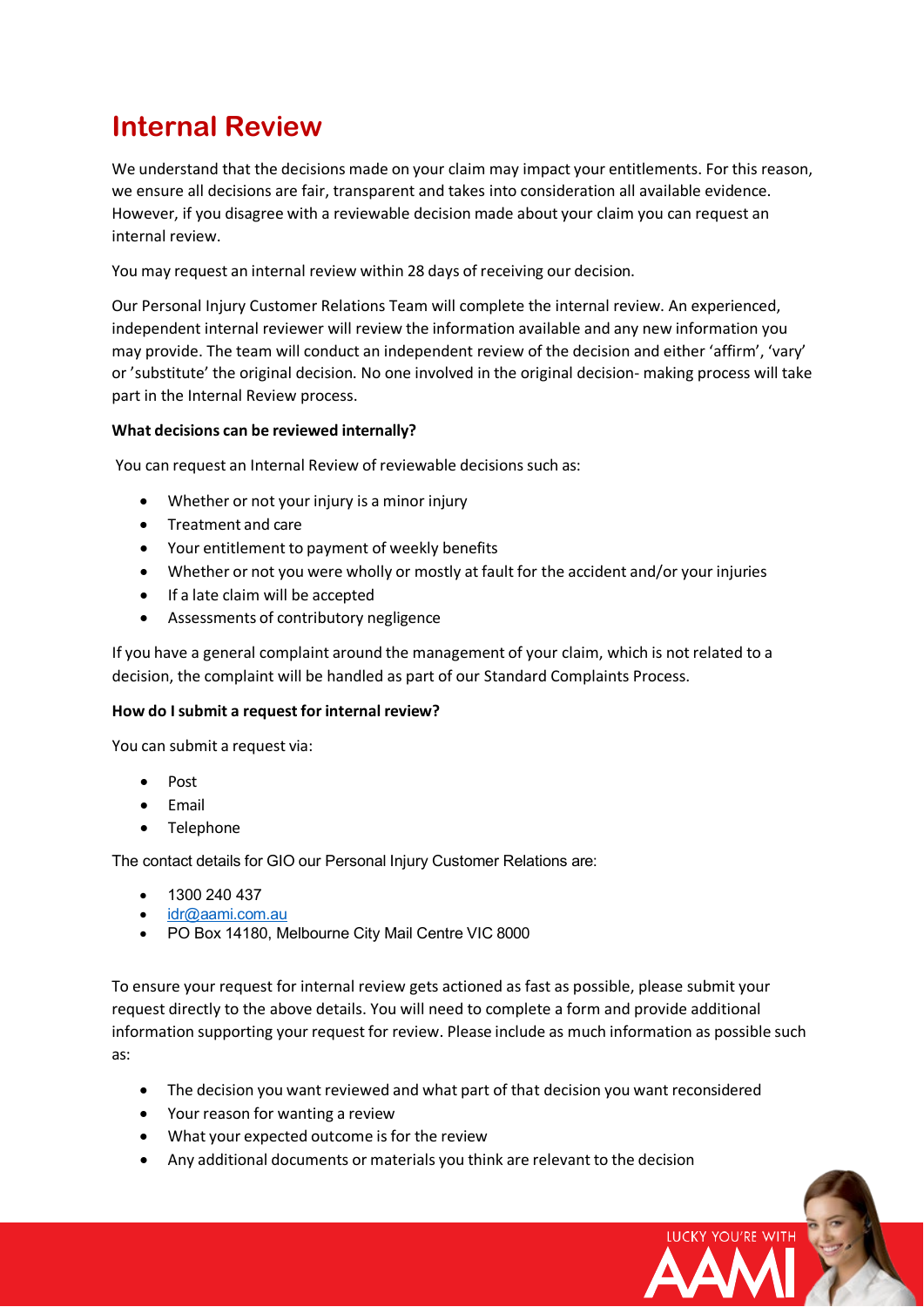# **Internal Review**

We understand that the decisions made on your claim may impact your entitlements. For this reason, we ensure all decisions are fair, transparent and takes into consideration all available evidence. However, if you disagree with a reviewable decision made about your claim you can request an internal review.

You may request an internal review within 28 days of receiving our decision.

Our Personal Injury Customer Relations Team will complete the internal review. An experienced, independent internal reviewer will review the information available and any new information you may provide. The team will conduct an independent review of the decision and either 'affirm', 'vary' or 'substitute' the original decision. No one involved in the original decision- making process will take part in the Internal Review process.

### **What decisions can be reviewed internally?**

You can request an Internal Review of reviewable decisions such as:

- Whether or not your injury is a minor injury
- Treatment and care
- Your entitlement to payment of weekly benefits
- Whether or not you were wholly or mostly at fault for the accident and/or your injuries
- If a late claim will be accepted
- Assessments of contributory negligence

If you have a general complaint around the management of your claim, which is not related to a decision, the complaint will be handled as part of our Standard Complaints Process.

#### **How do Isubmit a request for internal review?**

You can submit a request via:

- Post
- **Email**
- Telephone

The contact details for GIO our Personal Injury Customer Relations are:

- 1300 240 437
- [idr@aami.com.au](mailto:idr@gio.com.au)
- PO Box 14180, Melbourne City Mail Centre VIC 8000

To ensure your request for internal review gets actioned as fast as possible, please submit your request directly to the above details. You will need to complete a form and provide additional information supporting your request for review. Please include as much information as possible such as:

• The decision you want reviewed and what part of that decision you want reconsidered

LUCKY YOU'RE WITH

- Your reason for wanting a review
- What your expected outcome is for the review
- Any additional documents or materials you think are relevant to the decision